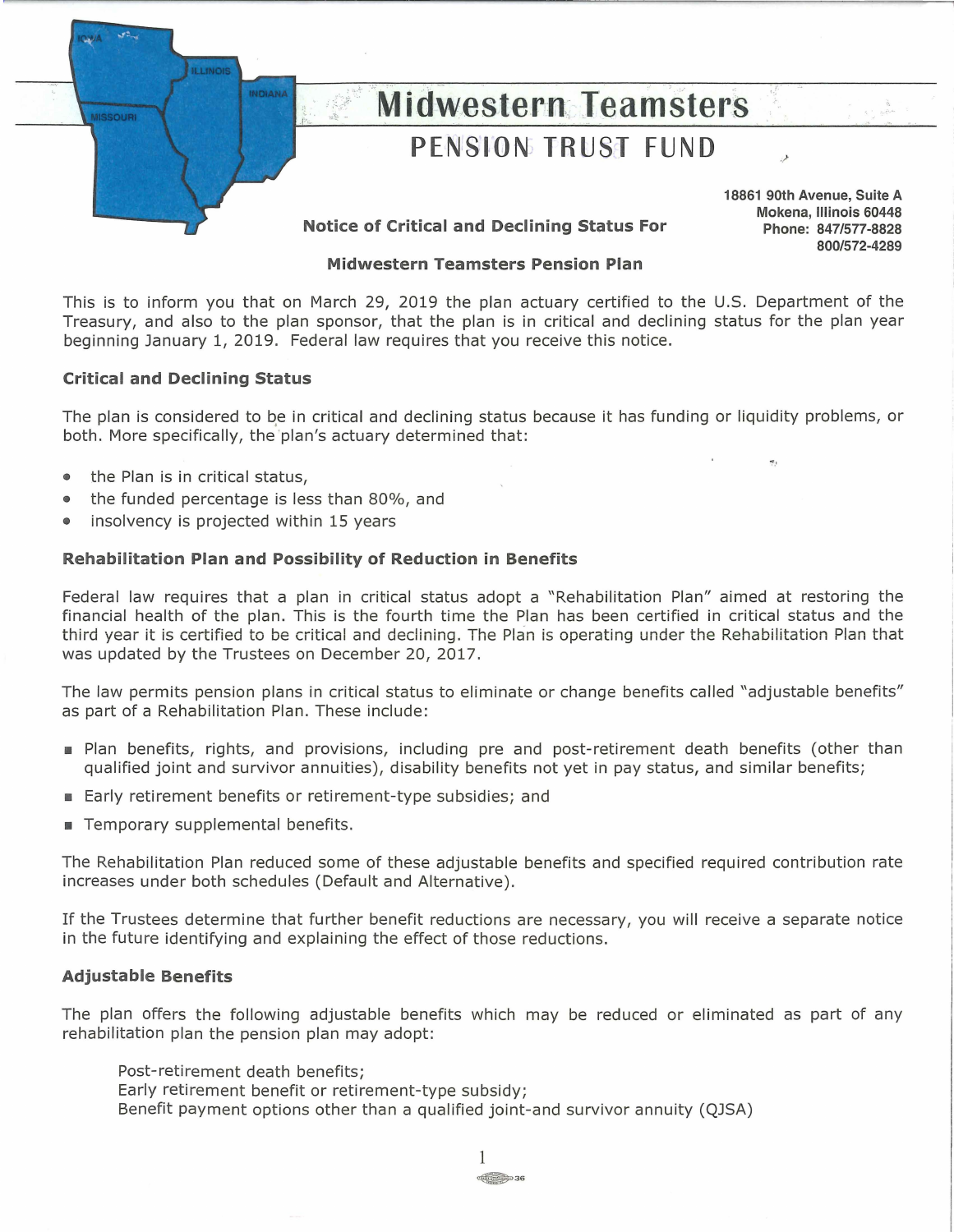

# **Midwestern Teamsters PENSION TRUST FUND**

**18861 90th Avenue, Suite A Mokena, Illinois 60448 Phone: 847/577-8828 800/572-4289** 

,/

## **Notice of Critical and Declining Status For**

## **Midwestern Teamsters Pension Plan**

This is to inform you that on March 29, 2019 the plan actuary certified to the U.S. Department of the Treasury, and also to the plan sponsor, that the plan is in critical and declining status for the plan year beginning January 1, 2019. Federal law requires that you receive this notice.

## **Critical and Declining Status**

The plan is considered to be in critical and declining status because it has funding or liquidity problems, or both. More specifically, the 'plan's actuary determined that:

- the Plan is in critical status,
- the funded percentage is less than 80%, and
- insolvency is projected within 15 years

## **Rehabilitation Plan and Possibility of Reduction in Benefits**

Federal law requires that a plan in critical status adopt a "Rehabilitation Plan" aimed at restoring the financial health of the plan. This is the fourth time the Plan has been certified in critical status and the third year it is certified to be critical and declining. The Plan is operating under the Rehabilitation Plan that was updated by the Trustees on December 20, 2017.

The law permits pension plans in critical status to eliminate or change benefits called "adjustable benefits" as part of a Rehabilitation Plan. These include:

- Plan benefits, rights, and provisions, including pre and post-retirement death benefits (other than qualified joint and survivor annuities), disability benefits not yet in pay status, and similar benefits;
- Early retirement benefits or retirement-type subsidies; and
- Temporary supplemental benefits.

The Rehabilitation Plan reduced some of these adjustable benefits and specified required contribution rate increases under both schedules (Default and Alternative).

If the Trustees determine that further benefit reductions are necessary, you will receive a separate notice in the future identifying and explaining the effect of those reductions.

## **Adjustable Benefits**

The plan offers the following adjustable benefits which may be reduced or eliminated as part of any rehabilitation plan the pension plan may adopt:

- Post-retirement death benefits;
- Early retirement benefit or retirement-type subsidy;
- Benefit payment options other than a qualified joint-and survivor annuity (QJSA)

1  $\begin{array}{c}\n\hline\n\hline\n\hline\n\end{array}$  36